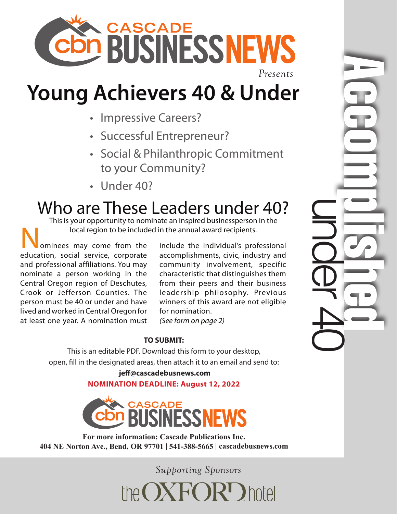

## **Young Achievers 40 & Under**

- Impressive Careers?
- Successful Entrepreneur?
- Social & Philanthropic Commitment to your Community?
- Under 40?

## Who are These Leaders under 40?

This is your opportunity to nominate an inspired businessperson in the local region to be included in the annual award recipients.

ominees may come from the education, social service, corporate and professional affiliations. You may nominate a person working in the Central Oregon region of Deschutes, Crook or Jefferson Counties. The person must be 40 or under and have lived and worked in Central Oregon for at least one year. A nomination must

include the individual's professional accomplishments, civic, industry and community involvement, specific characteristic that distinguishes them from their peers and their business leadership philosophy. Previous winners of this award are not eligible for nomination.

under 40

Accomplished and

*(See form on page 2)* 

## **TO SUBMIT:**

This is an editable PDF. Download this form to your desktop, open, fill in the designated areas, then attach it to an email and send to:

> **jeff@cascadebusnews.com NOMINATION DEADLINE: August 12, 2022**



**For more information: Cascade Publications Inc. 404 NE Norton Ave., Bend, OR 97701 | 541-388-5665 | cascadebusnews.com**

*Supporting Sponsors*

the OXFORD hotel